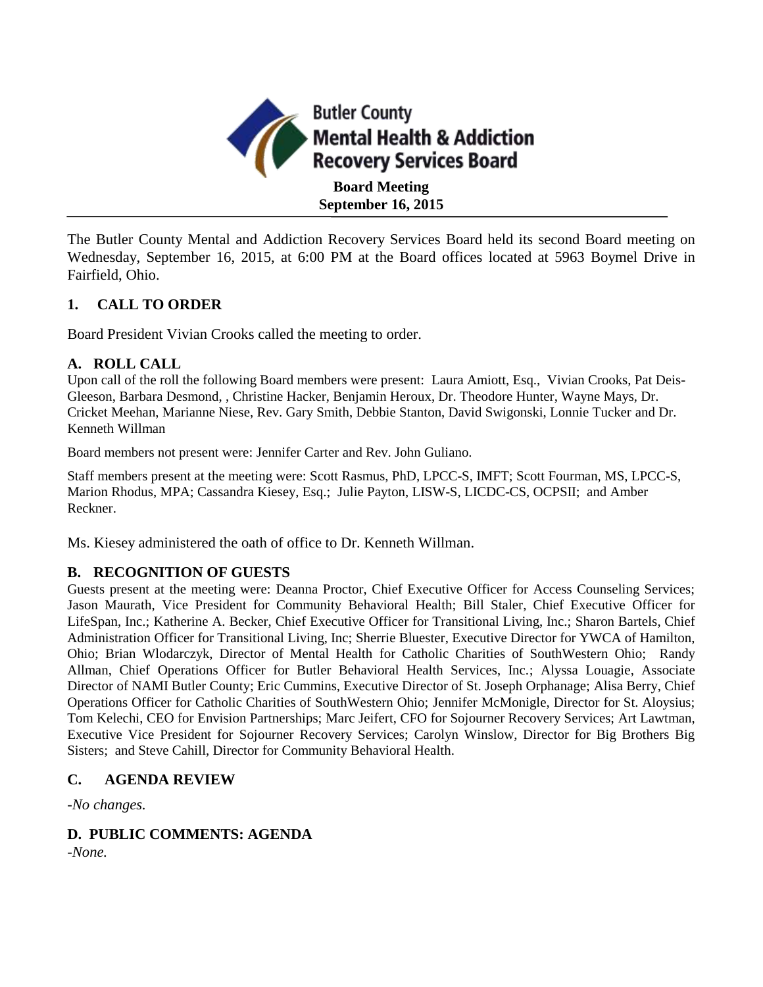

The Butler County Mental and Addiction Recovery Services Board held its second Board meeting on Wednesday, September 16, 2015, at 6:00 PM at the Board offices located at 5963 Boymel Drive in Fairfield, Ohio.

## **1. CALL TO ORDER**

Board President Vivian Crooks called the meeting to order.

## **A. ROLL CALL**

Upon call of the roll the following Board members were present: Laura Amiott, Esq., Vivian Crooks, Pat Deis-Gleeson, Barbara Desmond, , Christine Hacker, Benjamin Heroux, Dr. Theodore Hunter, Wayne Mays, Dr. Cricket Meehan, Marianne Niese, Rev. Gary Smith, Debbie Stanton, David Swigonski, Lonnie Tucker and Dr. Kenneth Willman

Board members not present were: Jennifer Carter and Rev. John Guliano.

Staff members present at the meeting were: Scott Rasmus, PhD, LPCC-S, IMFT; Scott Fourman, MS, LPCC-S, Marion Rhodus, MPA; Cassandra Kiesey, Esq.; Julie Payton, LISW-S, LICDC-CS, OCPSII; and Amber Reckner.

Ms. Kiesey administered the oath of office to Dr. Kenneth Willman.

## **B. RECOGNITION OF GUESTS**

Guests present at the meeting were: Deanna Proctor, Chief Executive Officer for Access Counseling Services; Jason Maurath, Vice President for Community Behavioral Health; Bill Staler, Chief Executive Officer for LifeSpan, Inc.; Katherine A. Becker, Chief Executive Officer for Transitional Living, Inc.; Sharon Bartels, Chief Administration Officer for Transitional Living, Inc; Sherrie Bluester, Executive Director for YWCA of Hamilton, Ohio; Brian Wlodarczyk, Director of Mental Health for Catholic Charities of SouthWestern Ohio; Randy Allman, Chief Operations Officer for Butler Behavioral Health Services, Inc.; Alyssa Louagie, Associate Director of NAMI Butler County; Eric Cummins, Executive Director of St. Joseph Orphanage; Alisa Berry, Chief Operations Officer for Catholic Charities of SouthWestern Ohio; Jennifer McMonigle, Director for St. Aloysius; Tom Kelechi, CEO for Envision Partnerships; Marc Jeifert, CFO for Sojourner Recovery Services; Art Lawtman, Executive Vice President for Sojourner Recovery Services; Carolyn Winslow, Director for Big Brothers Big Sisters; and Steve Cahill, Director for Community Behavioral Health.

## **C. AGENDA REVIEW**

*-No changes.*

## **D. PUBLIC COMMENTS: AGENDA**

*-None.*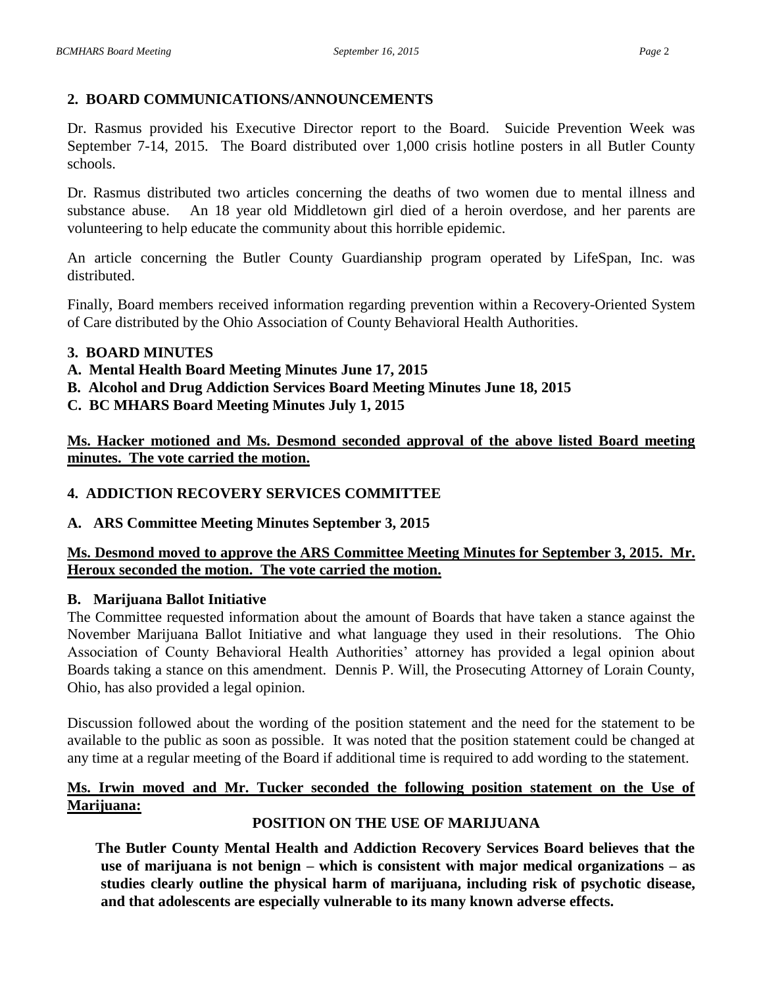# **2. BOARD COMMUNICATIONS/ANNOUNCEMENTS**

Dr. Rasmus provided his Executive Director report to the Board. Suicide Prevention Week was September 7-14, 2015. The Board distributed over 1,000 crisis hotline posters in all Butler County schools.

Dr. Rasmus distributed two articles concerning the deaths of two women due to mental illness and substance abuse. An 18 year old Middletown girl died of a heroin overdose, and her parents are volunteering to help educate the community about this horrible epidemic.

An article concerning the Butler County Guardianship program operated by LifeSpan, Inc. was distributed.

Finally, Board members received information regarding prevention within a Recovery-Oriented System of Care distributed by the Ohio Association of County Behavioral Health Authorities.

## **3. BOARD MINUTES**

- **A. Mental Health Board Meeting Minutes June 17, 2015**
- **B. Alcohol and Drug Addiction Services Board Meeting Minutes June 18, 2015**
- **C. BC MHARS Board Meeting Minutes July 1, 2015**

**Ms. Hacker motioned and Ms. Desmond seconded approval of the above listed Board meeting minutes. The vote carried the motion.**

## **4. ADDICTION RECOVERY SERVICES COMMITTEE**

## **A. ARS Committee Meeting Minutes September 3, 2015**

## **Ms. Desmond moved to approve the ARS Committee Meeting Minutes for September 3, 2015. Mr. Heroux seconded the motion. The vote carried the motion.**

## **B. Marijuana Ballot Initiative**

The Committee requested information about the amount of Boards that have taken a stance against the November Marijuana Ballot Initiative and what language they used in their resolutions. The Ohio Association of County Behavioral Health Authorities' attorney has provided a legal opinion about Boards taking a stance on this amendment. Dennis P. Will, the Prosecuting Attorney of Lorain County, Ohio, has also provided a legal opinion.

Discussion followed about the wording of the position statement and the need for the statement to be available to the public as soon as possible. It was noted that the position statement could be changed at any time at a regular meeting of the Board if additional time is required to add wording to the statement.

#### **Ms. Irwin moved and Mr. Tucker seconded the following position statement on the Use of Marijuana:**

# **POSITION ON THE USE OF MARIJUANA**

**The Butler County Mental Health and Addiction Recovery Services Board believes that the use of marijuana is not benign – which is consistent with major medical organizations – as studies clearly outline the physical harm of marijuana, including risk of psychotic disease, and that adolescents are especially vulnerable to its many known adverse effects.**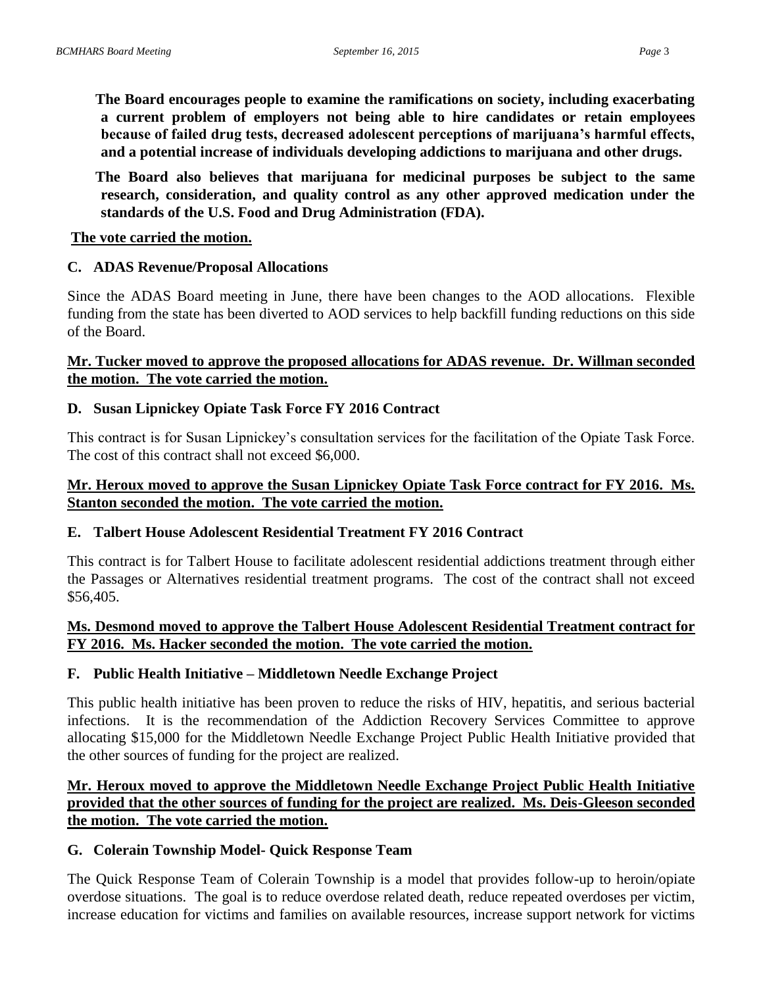**The Board encourages people to examine the ramifications on society, including exacerbating a current problem of employers not being able to hire candidates or retain employees because of failed drug tests, decreased adolescent perceptions of marijuana's harmful effects, and a potential increase of individuals developing addictions to marijuana and other drugs.**

**The Board also believes that marijuana for medicinal purposes be subject to the same research, consideration, and quality control as any other approved medication under the standards of the U.S. Food and Drug Administration (FDA).**

#### **The vote carried the motion.**

#### **C. ADAS Revenue/Proposal Allocations**

Since the ADAS Board meeting in June, there have been changes to the AOD allocations. Flexible funding from the state has been diverted to AOD services to help backfill funding reductions on this side of the Board.

#### **Mr. Tucker moved to approve the proposed allocations for ADAS revenue. Dr. Willman seconded the motion. The vote carried the motion.**

#### **D. Susan Lipnickey Opiate Task Force FY 2016 Contract**

This contract is for Susan Lipnickey's consultation services for the facilitation of the Opiate Task Force. The cost of this contract shall not exceed \$6,000.

#### **Mr. Heroux moved to approve the Susan Lipnickey Opiate Task Force contract for FY 2016. Ms. Stanton seconded the motion. The vote carried the motion.**

#### **E. Talbert House Adolescent Residential Treatment FY 2016 Contract**

This contract is for Talbert House to facilitate adolescent residential addictions treatment through either the Passages or Alternatives residential treatment programs. The cost of the contract shall not exceed \$56,405.

#### **Ms. Desmond moved to approve the Talbert House Adolescent Residential Treatment contract for FY 2016. Ms. Hacker seconded the motion. The vote carried the motion.**

#### **F. Public Health Initiative – Middletown Needle Exchange Project**

This public health initiative has been proven to reduce the risks of HIV, hepatitis, and serious bacterial infections. It is the recommendation of the Addiction Recovery Services Committee to approve allocating \$15,000 for the Middletown Needle Exchange Project Public Health Initiative provided that the other sources of funding for the project are realized.

## **Mr. Heroux moved to approve the Middletown Needle Exchange Project Public Health Initiative provided that the other sources of funding for the project are realized. Ms. Deis-Gleeson seconded the motion. The vote carried the motion.**

#### **G. Colerain Township Model- Quick Response Team**

The Quick Response Team of Colerain Township is a model that provides follow-up to heroin/opiate overdose situations. The goal is to reduce overdose related death, reduce repeated overdoses per victim, increase education for victims and families on available resources, increase support network for victims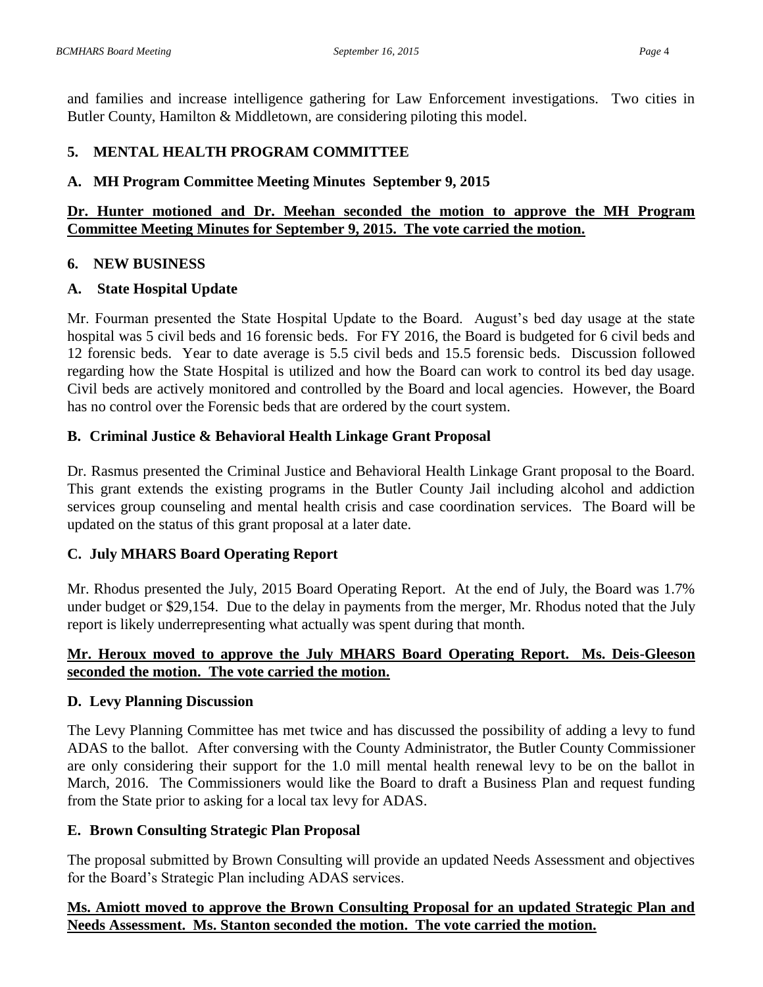and families and increase intelligence gathering for Law Enforcement investigations. Two cities in Butler County, Hamilton & Middletown, are considering piloting this model.

# **5. MENTAL HEALTH PROGRAM COMMITTEE**

#### **A. MH Program Committee Meeting Minutes September 9, 2015**

## **Dr. Hunter motioned and Dr. Meehan seconded the motion to approve the MH Program Committee Meeting Minutes for September 9, 2015. The vote carried the motion.**

#### **6. NEW BUSINESS**

#### **A. State Hospital Update**

Mr. Fourman presented the State Hospital Update to the Board. August's bed day usage at the state hospital was 5 civil beds and 16 forensic beds. For FY 2016, the Board is budgeted for 6 civil beds and 12 forensic beds. Year to date average is 5.5 civil beds and 15.5 forensic beds. Discussion followed regarding how the State Hospital is utilized and how the Board can work to control its bed day usage. Civil beds are actively monitored and controlled by the Board and local agencies. However, the Board has no control over the Forensic beds that are ordered by the court system.

## **B. Criminal Justice & Behavioral Health Linkage Grant Proposal**

Dr. Rasmus presented the Criminal Justice and Behavioral Health Linkage Grant proposal to the Board. This grant extends the existing programs in the Butler County Jail including alcohol and addiction services group counseling and mental health crisis and case coordination services. The Board will be updated on the status of this grant proposal at a later date.

## **C. July MHARS Board Operating Report**

Mr. Rhodus presented the July, 2015 Board Operating Report. At the end of July, the Board was 1.7% under budget or \$29,154. Due to the delay in payments from the merger, Mr. Rhodus noted that the July report is likely underrepresenting what actually was spent during that month.

## **Mr. Heroux moved to approve the July MHARS Board Operating Report. Ms. Deis-Gleeson seconded the motion. The vote carried the motion.**

## **D. Levy Planning Discussion**

The Levy Planning Committee has met twice and has discussed the possibility of adding a levy to fund ADAS to the ballot. After conversing with the County Administrator, the Butler County Commissioner are only considering their support for the 1.0 mill mental health renewal levy to be on the ballot in March, 2016. The Commissioners would like the Board to draft a Business Plan and request funding from the State prior to asking for a local tax levy for ADAS.

## **E. Brown Consulting Strategic Plan Proposal**

The proposal submitted by Brown Consulting will provide an updated Needs Assessment and objectives for the Board's Strategic Plan including ADAS services.

## **Ms. Amiott moved to approve the Brown Consulting Proposal for an updated Strategic Plan and Needs Assessment. Ms. Stanton seconded the motion. The vote carried the motion.**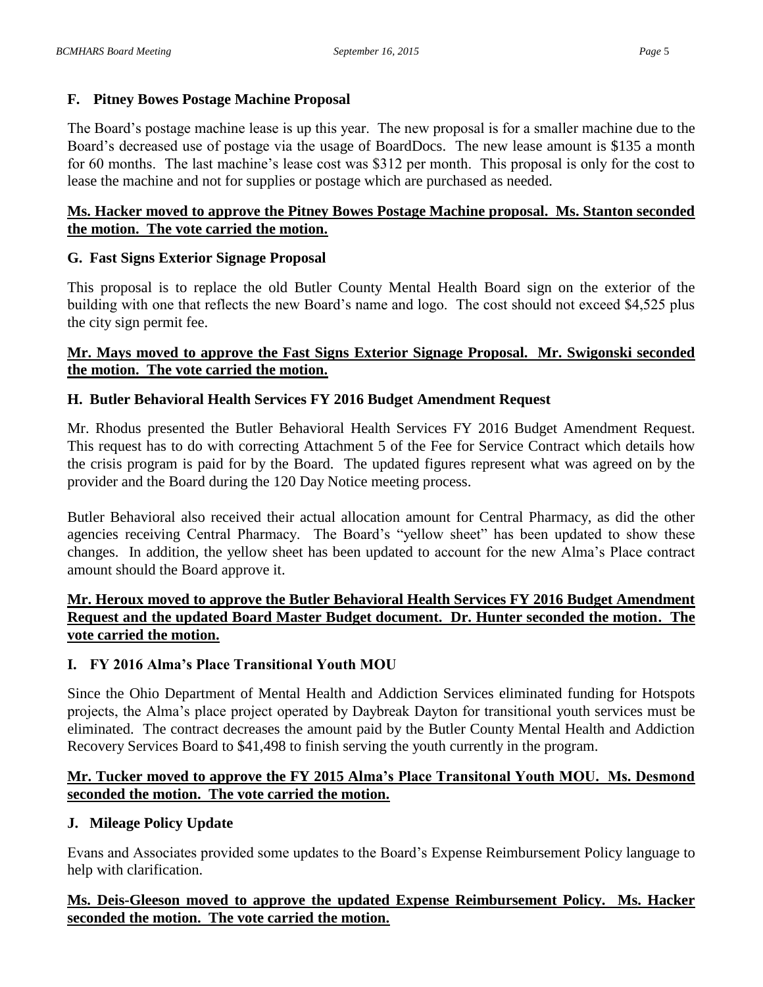## **F. Pitney Bowes Postage Machine Proposal**

The Board's postage machine lease is up this year. The new proposal is for a smaller machine due to the Board's decreased use of postage via the usage of BoardDocs. The new lease amount is \$135 a month for 60 months. The last machine's lease cost was \$312 per month. This proposal is only for the cost to lease the machine and not for supplies or postage which are purchased as needed.

## **Ms. Hacker moved to approve the Pitney Bowes Postage Machine proposal. Ms. Stanton seconded the motion. The vote carried the motion.**

## **G. Fast Signs Exterior Signage Proposal**

This proposal is to replace the old Butler County Mental Health Board sign on the exterior of the building with one that reflects the new Board's name and logo. The cost should not exceed \$4,525 plus the city sign permit fee.

## **Mr. Mays moved to approve the Fast Signs Exterior Signage Proposal. Mr. Swigonski seconded the motion. The vote carried the motion.**

# **H. Butler Behavioral Health Services FY 2016 Budget Amendment Request**

Mr. Rhodus presented the Butler Behavioral Health Services FY 2016 Budget Amendment Request. This request has to do with correcting Attachment 5 of the Fee for Service Contract which details how the crisis program is paid for by the Board. The updated figures represent what was agreed on by the provider and the Board during the 120 Day Notice meeting process.

Butler Behavioral also received their actual allocation amount for Central Pharmacy, as did the other agencies receiving Central Pharmacy. The Board's "yellow sheet" has been updated to show these changes. In addition, the yellow sheet has been updated to account for the new Alma's Place contract amount should the Board approve it.

# **Mr. Heroux moved to approve the Butler Behavioral Health Services FY 2016 Budget Amendment Request and the updated Board Master Budget document. Dr. Hunter seconded the motion. The vote carried the motion.**

## **I. FY 2016 Alma's Place Transitional Youth MOU**

Since the Ohio Department of Mental Health and Addiction Services eliminated funding for Hotspots projects, the Alma's place project operated by Daybreak Dayton for transitional youth services must be eliminated. The contract decreases the amount paid by the Butler County Mental Health and Addiction Recovery Services Board to \$41,498 to finish serving the youth currently in the program.

# **Mr. Tucker moved to approve the FY 2015 Alma's Place Transitonal Youth MOU. Ms. Desmond seconded the motion. The vote carried the motion.**

# **J. Mileage Policy Update**

Evans and Associates provided some updates to the Board's Expense Reimbursement Policy language to help with clarification.

## **Ms. Deis-Gleeson moved to approve the updated Expense Reimbursement Policy. Ms. Hacker seconded the motion. The vote carried the motion.**